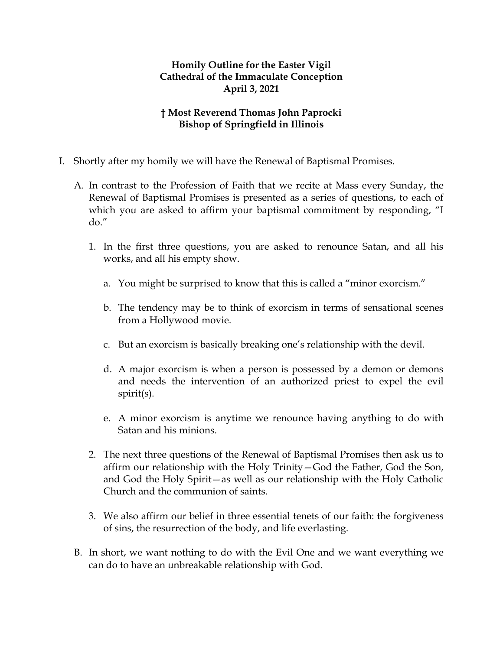## **Homily Outline for the Easter Vigil Cathedral of the Immaculate Conception April 3, 2021**

## **† Most Reverend Thomas John Paprocki Bishop of Springfield in Illinois**

- I. Shortly after my homily we will have the Renewal of Baptismal Promises.
	- A. In contrast to the Profession of Faith that we recite at Mass every Sunday, the Renewal of Baptismal Promises is presented as a series of questions, to each of which you are asked to affirm your baptismal commitment by responding, "I do."
		- 1. In the first three questions, you are asked to renounce Satan, and all his works, and all his empty show.
			- a. You might be surprised to know that this is called a "minor exorcism."
			- b. The tendency may be to think of exorcism in terms of sensational scenes from a Hollywood movie.
			- c. But an exorcism is basically breaking one's relationship with the devil.
			- d. A major exorcism is when a person is possessed by a demon or demons and needs the intervention of an authorized priest to expel the evil spirit(s).
			- e. A minor exorcism is anytime we renounce having anything to do with Satan and his minions.
		- 2. The next three questions of the Renewal of Baptismal Promises then ask us to affirm our relationship with the Holy Trinity—God the Father, God the Son, and God the Holy Spirit—as well as our relationship with the Holy Catholic Church and the communion of saints.
		- 3. We also affirm our belief in three essential tenets of our faith: the forgiveness of sins, the resurrection of the body, and life everlasting.
	- B. In short, we want nothing to do with the Evil One and we want everything we can do to have an unbreakable relationship with God.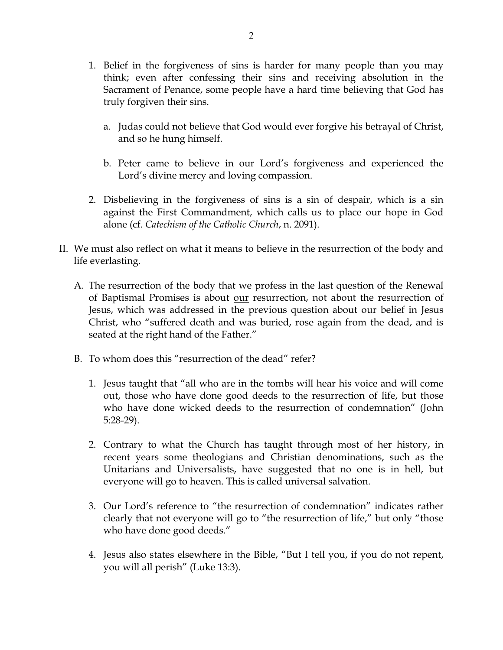- 1. Belief in the forgiveness of sins is harder for many people than you may think; even after confessing their sins and receiving absolution in the Sacrament of Penance, some people have a hard time believing that God has truly forgiven their sins.
	- a. Judas could not believe that God would ever forgive his betrayal of Christ, and so he hung himself.
	- b. Peter came to believe in our Lord's forgiveness and experienced the Lord's divine mercy and loving compassion.
- 2. Disbelieving in the forgiveness of sins is a sin of despair, which is a sin against the First Commandment, which calls us to place our hope in God alone (cf. *Catechism of the Catholic Church*, n. 2091).
- II. We must also reflect on what it means to believe in the resurrection of the body and life everlasting.
	- A. The resurrection of the body that we profess in the last question of the Renewal of Baptismal Promises is about our resurrection, not about the resurrection of Jesus, which was addressed in the previous question about our belief in Jesus Christ, who "suffered death and was buried, rose again from the dead, and is seated at the right hand of the Father."
	- B. To whom does this "resurrection of the dead" refer?
		- 1. Jesus taught that "all who are in the tombs will hear his voice and will come out, those who have done good deeds to the resurrection of life, but those who have done wicked deeds to the resurrection of condemnation" (John 5:28-29).
		- 2. Contrary to what the Church has taught through most of her history, in recent years some theologians and Christian denominations, such as the Unitarians and Universalists, have suggested that no one is in hell, but everyone will go to heaven. This is called universal salvation.
		- 3. Our Lord's reference to "the resurrection of condemnation" indicates rather clearly that not everyone will go to "the resurrection of life," but only "those who have done good deeds."
		- 4. Jesus also states elsewhere in the Bible, "But I tell you, if you do not repent, you will all perish" (Luke 13:3).